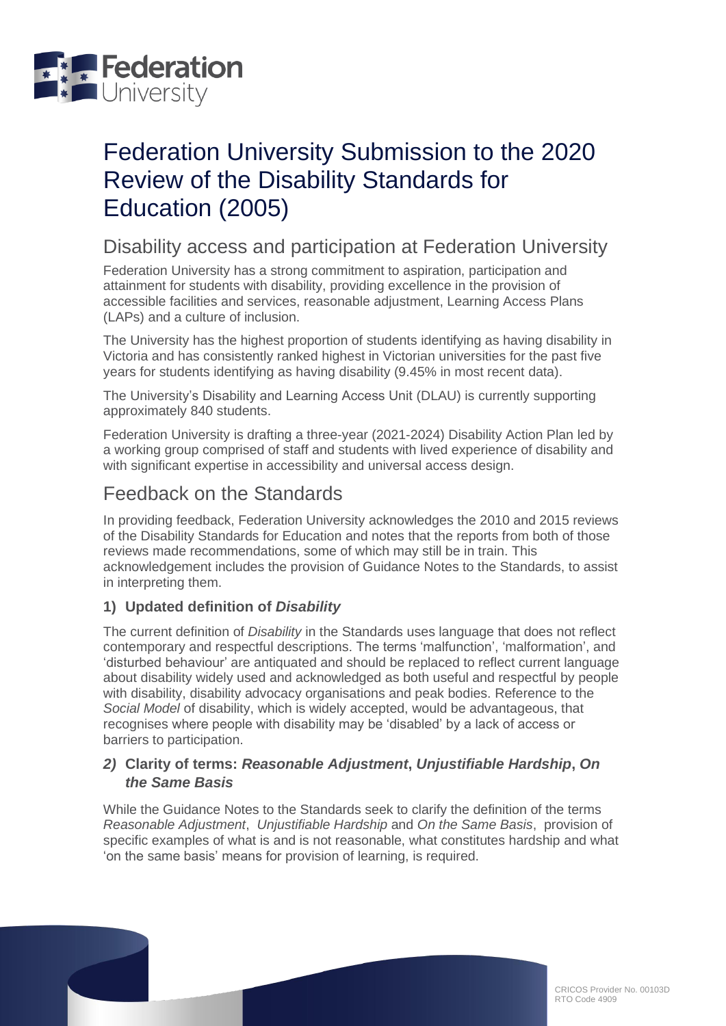

# Federation University Submission to the 2020 Review of the Disability Standards for Education (2005)

## Disability access and participation at Federation University

Federation University has a strong commitment to aspiration, participation and attainment for students with disability, providing excellence in the provision of accessible facilities and services, reasonable adjustment, Learning Access Plans (LAPs) and a culture of inclusion.

The University has the highest proportion of students identifying as having disability in Victoria and has consistently ranked highest in Victorian universities for the past five years for students identifying as having disability (9.45% in most recent data).

The University's Disability and Learning Access Unit (DLAU) is currently supporting approximately 840 students.

Federation University is drafting a three-year (2021-2024) Disability Action Plan led by a working group comprised of staff and students with lived experience of disability and with significant expertise in accessibility and universal access design.

## Feedback on the Standards

In providing feedback, Federation University acknowledges the 2010 and 2015 reviews of the Disability Standards for Education and notes that the reports from both of those reviews made recommendations, some of which may still be in train. This acknowledgement includes the provision of Guidance Notes to the Standards, to assist in interpreting them.

### **1) Updated definition of** *Disability*

The current definition of *Disability* in the Standards uses language that does not reflect contemporary and respectful descriptions. The terms 'malfunction', 'malformation', and 'disturbed behaviour' are antiquated and should be replaced to reflect current language about disability widely used and acknowledged as both useful and respectful by people with disability, disability advocacy organisations and peak bodies. Reference to the *Social Model* of disability, which is widely accepted, would be advantageous, that recognises where people with disability may be 'disabled' by a lack of access or barriers to participation.

#### *2)* **Clarity of terms:** *Reasonable Adjustment***,** *Unjustifiable Hardship***,** *On the Same Basis*

While the Guidance Notes to the Standards seek to clarify the definition of the terms *Reasonable Adjustment*, *Unjustifiable Hardship* and *On the Same Basis*, provision of specific examples of what is and is not reasonable, what constitutes hardship and what 'on the same basis' means for provision of learning, is required.

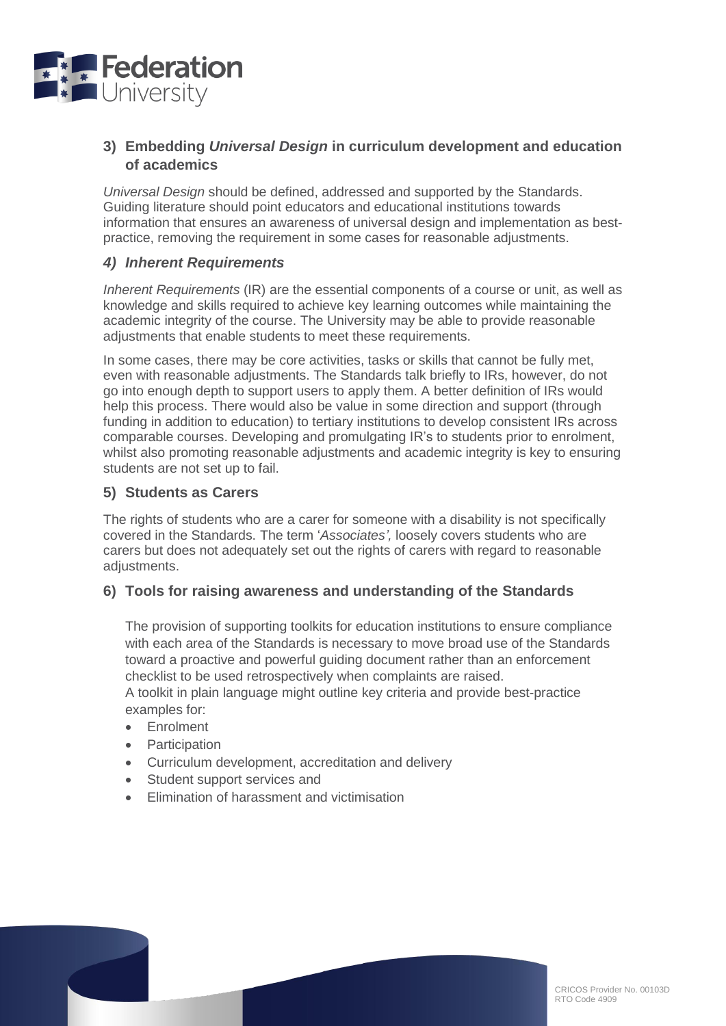

#### **3) Embedding** *Universal Design* **in curriculum development and education of academics**

*Universal Design* should be defined, addressed and supported by the Standards. Guiding literature should point educators and educational institutions towards information that ensures an awareness of universal design and implementation as bestpractice, removing the requirement in some cases for reasonable adjustments.

#### *4) Inherent Requirements*

*Inherent Requirements* (IR) are the essential components of a course or unit, as well as knowledge and skills required to achieve key learning outcomes while maintaining the academic integrity of the course. The University may be able to provide reasonable adjustments that enable students to meet these requirements.

In some cases, there may be core activities, tasks or skills that cannot be fully met, even with reasonable adjustments. The Standards talk briefly to IRs, however, do not go into enough depth to support users to apply them. A better definition of IRs would help this process. There would also be value in some direction and support (through funding in addition to education) to tertiary institutions to develop consistent IRs across comparable courses. Developing and promulgating IR's to students prior to enrolment, whilst also promoting reasonable adjustments and academic integrity is key to ensuring students are not set up to fail.

#### **5) Students as Carers**

The rights of students who are a carer for someone with a disability is not specifically covered in the Standards. The term '*Associates',* loosely covers students who are carers but does not adequately set out the rights of carers with regard to reasonable adjustments.

#### **6) Tools for raising awareness and understanding of the Standards**

The provision of supporting toolkits for education institutions to ensure compliance with each area of the Standards is necessary to move broad use of the Standards toward a proactive and powerful guiding document rather than an enforcement checklist to be used retrospectively when complaints are raised.

A toolkit in plain language might outline key criteria and provide best-practice examples for:

- Enrolment
- Participation
- Curriculum development, accreditation and delivery
- Student support services and
- Elimination of harassment and victimisation